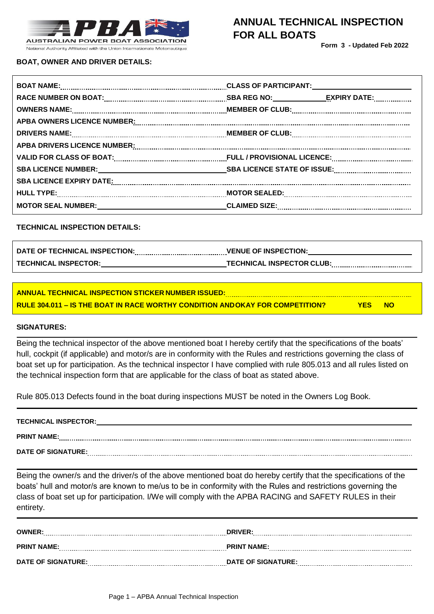

**Form 3 - Updated Feb 2022**

**BOAT, OWNER AND DRIVER DETAILS:**

## **BOAT NAME: CLASS OF PARTICIPANT: RACE NUMBER ON BOAT: SBA REG NO: EXPIRY DATE: OWNERS NAME: MEMBER OF CLUB: APBA OWNERS LICENCE NUMBER: DRIVERS NAME: MEMBER OF CLUB: MEMBER OF** CLUB: **MEMBER** OF CLUB: **MEMBER** OF CLUB: **MEMBER** OF CLUB: **MEMBER** OF CLUB: **MEMBER** OF CLUB: **MEMBER** OF CLUB: **MEMBER** OF CLUB: **MEMBER** OF CLUB: **MEMBER** OF CLUB: **MEMBE APBA DRIVERS LICENCE NUMBER: VALID FOR CLASS OF BOAT: FULL / PROVISIONAL LICENCE: SBA LICENCE NUMBER: SBA LICENCE STATE OF ISSUE: SBA LICENCE EXPIRY DATE: HULL TYPE: MOTOR SEALED: MOTOR SEAL NUMBER: CLAIMED SIZE:**

### **TECHNICAL INSPECTION DETAILS:**

| DATE OF TECHNICAL INSPECTION: | <b>VENUE OF INSPECTION:</b>      |
|-------------------------------|----------------------------------|
| <b>TECHNICAL INSPECTOR:</b>   | <b>TECHNICAL INSPECTOR CLUB:</b> |

**ANNUAL TECHNICAL INSPECTION STICKER NUMBER ISSUED: RULE 304.011 – IS THE BOAT IN RACE WORTHY CONDITION ANDOKAY FOR COMPETITION? YES NO**

#### **SIGNATURES:**

Being the technical inspector of the above mentioned boat I hereby certify that the specifications of the boats' hull, cockpit (if applicable) and motor/s are in conformity with the Rules and restrictions governing the class of boat set up for participation. As the technical inspector I have complied with rule 805.013 and all rules listed on the technical inspection form that are applicable for the class of boat as stated above.

Rule 805.013 Defects found in the boat during inspections MUST be noted in the Owners Log Book.

| <b>TECHNICAL INSPECTOR:</b> |  |
|-----------------------------|--|
| <b>PRINT NAME:</b>          |  |
| DATE OF SIGNATURE:          |  |

Being the owner/s and the driver/s of the above mentioned boat do hereby certify that the specifications of the boats' hull and motor/s are known to me/us to be in conformity with the Rules and restrictions governing the class of boat set up for participation. I/We will comply with the APBA RACING and SAFETY RULES in their entirety.

| <b>OWNER:</b>             | <b>DRIVER:</b>     |
|---------------------------|--------------------|
| <b>PRINT NAME:</b>        | <b>PRINT NAME:</b> |
| <b>DATE OF SIGNATURE:</b> | DATE OF SIGNATURE: |